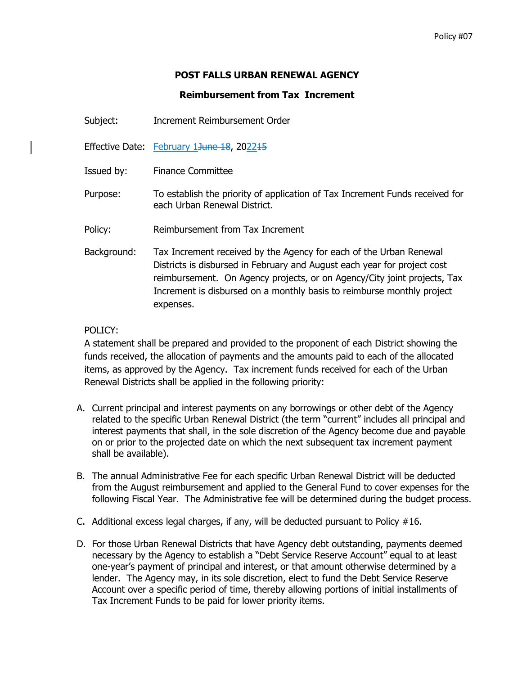# **POST FALLS URBAN RENEWAL AGENCY**

## **Reimbursement from Tax Increment**

Subject: Increment Reimbursement Order

Effective Date: February 13une 18, 202215

Issued by: Finance Committee

- Purpose: To establish the priority of application of Tax Increment Funds received for each Urban Renewal District.
- Policy: Reimbursement from Tax Increment
- Background: Tax Increment received by the Agency for each of the Urban Renewal Districts is disbursed in February and August each year for project cost reimbursement. On Agency projects, or on Agency/City joint projects, Tax Increment is disbursed on a monthly basis to reimburse monthly project expenses.

## POLICY:

A statement shall be prepared and provided to the proponent of each District showing the funds received, the allocation of payments and the amounts paid to each of the allocated items, as approved by the Agency. Tax increment funds received for each of the Urban Renewal Districts shall be applied in the following priority:

- A. Current principal and interest payments on any borrowings or other debt of the Agency related to the specific Urban Renewal District (the term "current" includes all principal and interest payments that shall, in the sole discretion of the Agency become due and payable on or prior to the projected date on which the next subsequent tax increment payment shall be available).
- B. The annual Administrative Fee for each specific Urban Renewal District will be deducted from the August reimbursement and applied to the General Fund to cover expenses for the following Fiscal Year. The Administrative fee will be determined during the budget process.
- C. Additional excess legal charges, if any, will be deducted pursuant to Policy  $#16$ .
- D. For those Urban Renewal Districts that have Agency debt outstanding, payments deemed necessary by the Agency to establish a "Debt Service Reserve Account" equal to at least one-year's payment of principal and interest, or that amount otherwise determined by a lender. The Agency may, in its sole discretion, elect to fund the Debt Service Reserve Account over a specific period of time, thereby allowing portions of initial installments of Tax Increment Funds to be paid for lower priority items.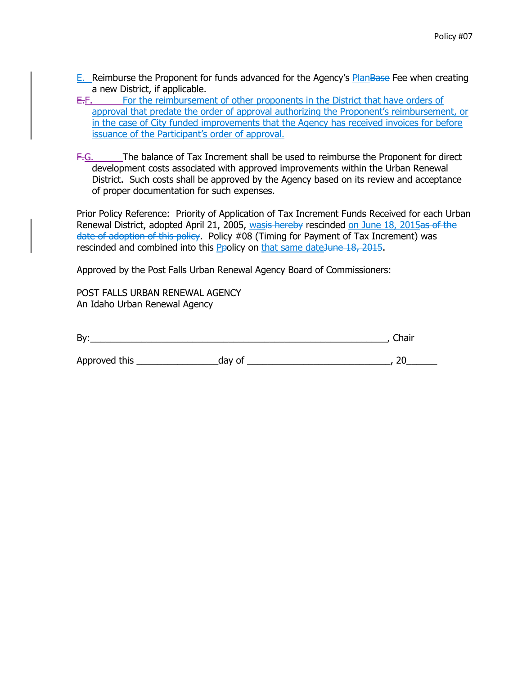- E. Reimburse the Proponent for funds advanced for the Agency's PlanBase Fee when creating a new District, if applicable.
- E.F. For the reimbursement of other proponents in the District that have orders of approval that predate the order of approval authorizing the Proponent's reimbursement, or in the case of City funded improvements that the Agency has received invoices for before issuance of the Participant's order of approval.
- F.G. The balance of Tax Increment shall be used to reimburse the Proponent for direct development costs associated with approved improvements within the Urban Renewal District. Such costs shall be approved by the Agency based on its review and acceptance of proper documentation for such expenses.

Prior Policy Reference: Priority of Application of Tax Increment Funds Received for each Urban Renewal District, adopted April 21, 2005, wasis hereby rescinded on June 18, 2015as of the date of adoption of this policy. Policy #08 (Timing for Payment of Tax Increment) was rescinded and combined into this Ppolicy on that same dateJune 18, 2015.

Approved by the Post Falls Urban Renewal Agency Board of Commissioners:

POST FALLS URBAN RENEWAL AGENCY An Idaho Urban Renewal Agency

| By:           |        | Chair |
|---------------|--------|-------|
| Approved this | day of |       |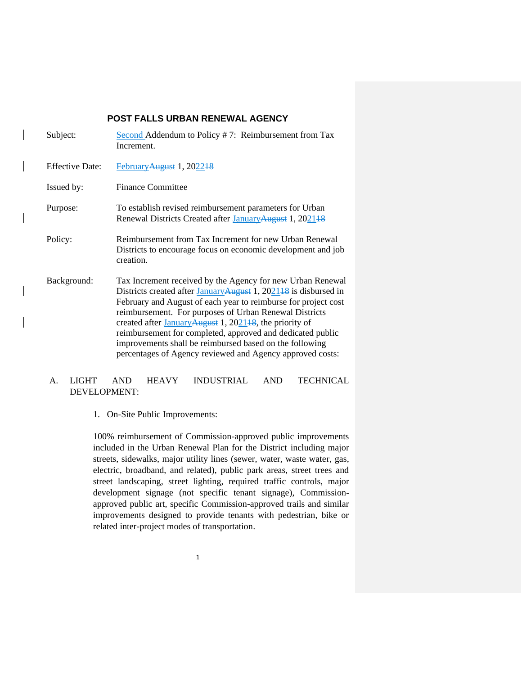### **POST FALLS URBAN RENEWAL AGENCY**

| Subject:               | Second Addendum to Policy #7: Reimbursement from Tax<br>Increment.                                                                                                                                                                                                                                                                                                                                                                                                                                                                     |
|------------------------|----------------------------------------------------------------------------------------------------------------------------------------------------------------------------------------------------------------------------------------------------------------------------------------------------------------------------------------------------------------------------------------------------------------------------------------------------------------------------------------------------------------------------------------|
| <b>Effective Date:</b> | February August 1, 202248                                                                                                                                                                                                                                                                                                                                                                                                                                                                                                              |
| Issued by:             | <b>Finance Committee</b>                                                                                                                                                                                                                                                                                                                                                                                                                                                                                                               |
| Purpose:               | To establish revised reimbursement parameters for Urban<br>Renewal Districts Created after January August 1, 202148                                                                                                                                                                                                                                                                                                                                                                                                                    |
| Policy:                | Reimbursement from Tax Increment for new Urban Renewal<br>Districts to encourage focus on economic development and job<br>creation.                                                                                                                                                                                                                                                                                                                                                                                                    |
| Background:            | Tax Increment received by the Agency for new Urban Renewal<br>Districts created after January August 1, 2021 <sup>18</sup> is disbursed in<br>February and August of each year to reimburse for project cost<br>reimbursement. For purposes of Urban Renewal Districts<br>created after $January$ August 1, 2021 <sup>18</sup> , the priority of<br>reimbursement for completed, approved and dedicated public<br>improvements shall be reimbursed based on the following<br>percentages of Agency reviewed and Agency approved costs: |

## A. LIGHT AND HEAVY INDUSTRIAL AND TECHNICAL DEVELOPMENT:

1. On-Site Public Improvements:

100% reimbursement of Commission-approved public improvements included in the Urban Renewal Plan for the District including major streets, sidewalks, major utility lines (sewer, water, waste water, gas, electric, broadband, and related), public park areas, street trees and street landscaping, street lighting, required traffic controls, major development signage (not specific tenant signage), Commissionapproved public art, specific Commission-approved trails and similar improvements designed to provide tenants with pedestrian, bike or related inter-project modes of transportation.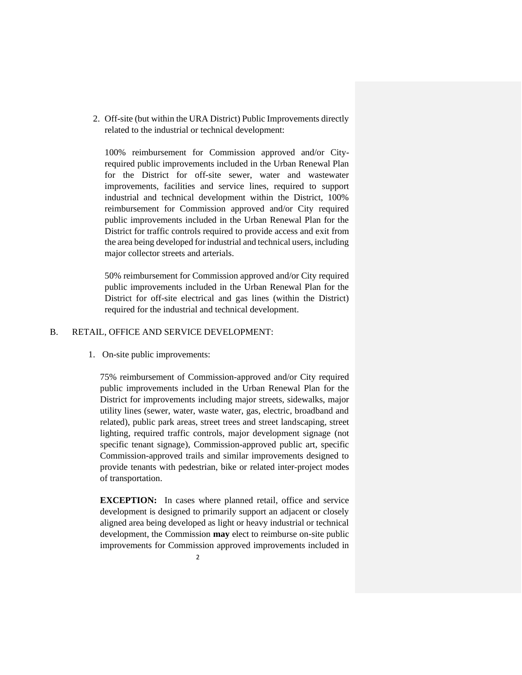2. Off-site (but within the URA District) Public Improvements directly related to the industrial or technical development:

100% reimbursement for Commission approved and/or Cityrequired public improvements included in the Urban Renewal Plan for the District for off-site sewer, water and wastewater improvements, facilities and service lines, required to support industrial and technical development within the District, 100% reimbursement for Commission approved and/or City required public improvements included in the Urban Renewal Plan for the District for traffic controls required to provide access and exit from the area being developed for industrial and technical users, including major collector streets and arterials.

50% reimbursement for Commission approved and/or City required public improvements included in the Urban Renewal Plan for the District for off-site electrical and gas lines (within the District) required for the industrial and technical development.

#### B. RETAIL, OFFICE AND SERVICE DEVELOPMENT:

#### 1. On-site public improvements:

75% reimbursement of Commission-approved and/or City required public improvements included in the Urban Renewal Plan for the District for improvements including major streets, sidewalks, major utility lines (sewer, water, waste water, gas, electric, broadband and related), public park areas, street trees and street landscaping, street lighting, required traffic controls, major development signage (not specific tenant signage), Commission-approved public art, specific Commission-approved trails and similar improvements designed to provide tenants with pedestrian, bike or related inter-project modes of transportation.

**EXCEPTION:** In cases where planned retail, office and service development is designed to primarily support an adjacent or closely aligned area being developed as light or heavy industrial or technical development, the Commission **may** elect to reimburse on-site public improvements for Commission approved improvements included in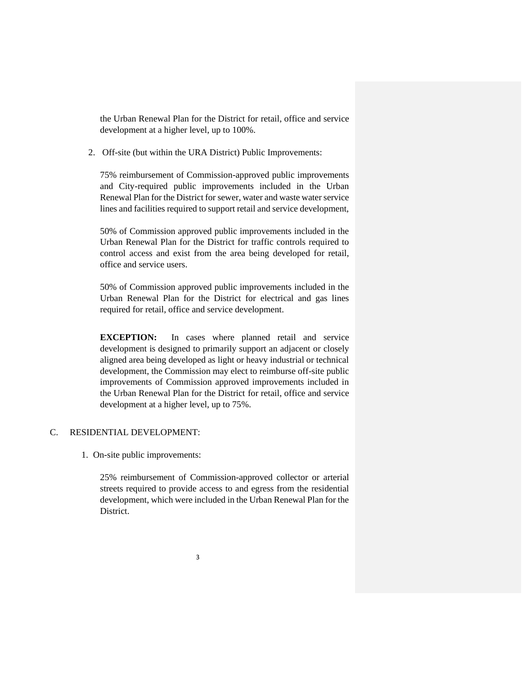the Urban Renewal Plan for the District for retail, office and service development at a higher level, up to 100%.

2. Off-site (but within the URA District) Public Improvements:

75% reimbursement of Commission-approved public improvements and City-required public improvements included in the Urban Renewal Plan for the District for sewer, water and waste water service lines and facilities required to support retail and service development,

50% of Commission approved public improvements included in the Urban Renewal Plan for the District for traffic controls required to control access and exist from the area being developed for retail, office and service users.

50% of Commission approved public improvements included in the Urban Renewal Plan for the District for electrical and gas lines required for retail, office and service development.

**EXCEPTION:** In cases where planned retail and service development is designed to primarily support an adjacent or closely aligned area being developed as light or heavy industrial or technical development, the Commission may elect to reimburse off-site public improvements of Commission approved improvements included in the Urban Renewal Plan for the District for retail, office and service development at a higher level, up to 75%.

#### C. RESIDENTIAL DEVELOPMENT:

1. On-site public improvements:

25% reimbursement of Commission-approved collector or arterial streets required to provide access to and egress from the residential development, which were included in the Urban Renewal Plan for the District.